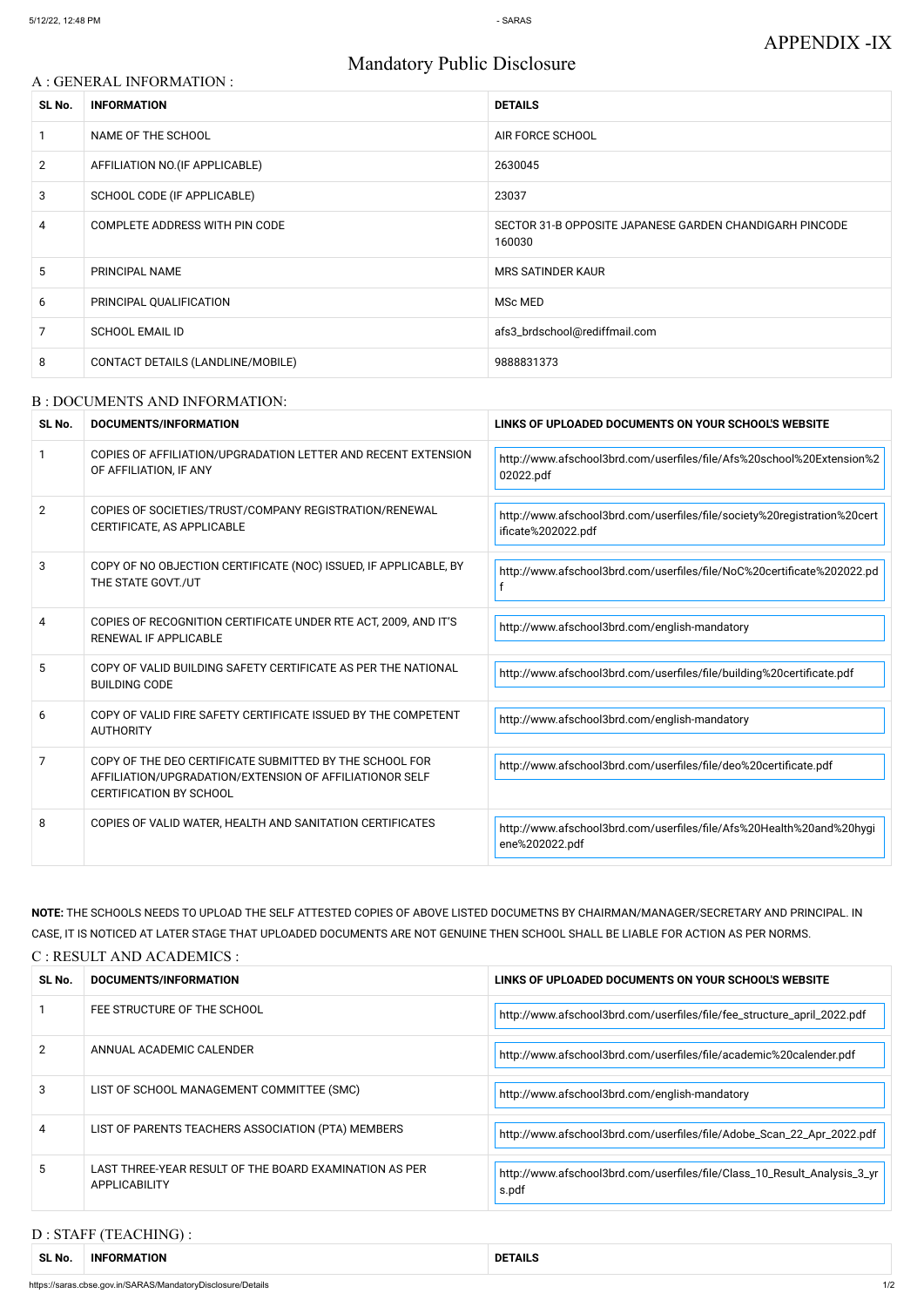# Mandatory Public Disclosure

#### A : GENERAL INFORMATION :

| SL No.         | <b>INFORMATION</b>                | <b>DETAILS</b>                                                    |  |
|----------------|-----------------------------------|-------------------------------------------------------------------|--|
|                | NAME OF THE SCHOOL                | AIR FORCE SCHOOL                                                  |  |
| $\overline{2}$ | AFFILIATION NO. (IF APPLICABLE)   | 2630045                                                           |  |
| 3              | SCHOOL CODE (IF APPLICABLE)       | 23037                                                             |  |
| 4              | COMPLETE ADDRESS WITH PIN CODE    | SECTOR 31-B OPPOSITE JAPANESE GARDEN CHANDIGARH PINCODE<br>160030 |  |
| 5              | PRINCIPAL NAME                    | <b>MRS SATINDER KAUR</b>                                          |  |
| 6              | PRINCIPAL QUALIFICATION           | MSc MED                                                           |  |
| 7              | <b>SCHOOL EMAIL ID</b>            | afs3_brdschool@rediffmail.com                                     |  |
| 8              | CONTACT DETAILS (LANDLINE/MOBILE) | 9888831373                                                        |  |

#### B : DOCUMENTS AND INFORMATION:

| SL No.         | DOCUMENTS/INFORMATION                                                                                                                                | LINKS OF UPLOADED DOCUMENTS ON YOUR SCHOOL'S WEBSITE                                           |  |
|----------------|------------------------------------------------------------------------------------------------------------------------------------------------------|------------------------------------------------------------------------------------------------|--|
|                | COPIES OF AFFILIATION/UPGRADATION LETTER AND RECENT EXTENSION<br>OF AFFILIATION, IF ANY                                                              | http://www.afschool3brd.com/userfiles/file/Afs%20school%20Extension%2<br>02022.pdf             |  |
| 2              | COPIES OF SOCIETIES/TRUST/COMPANY REGISTRATION/RENEWAL<br>CERTIFICATE, AS APPLICABLE                                                                 | http://www.afschool3brd.com/userfiles/file/society%20registration%20cert<br>ificate%202022.pdf |  |
| 3              | COPY OF NO OBJECTION CERTIFICATE (NOC) ISSUED, IF APPLICABLE, BY<br>THE STATE GOVT./UT                                                               | http://www.afschool3brd.com/userfiles/file/NoC%20certificate%202022.pd                         |  |
| 4              | COPIES OF RECOGNITION CERTIFICATE UNDER RTE ACT, 2009, AND IT'S<br>RENEWAL IF APPLICABLE                                                             | http://www.afschool3brd.com/english-mandatory                                                  |  |
| 5              | COPY OF VALID BUILDING SAFETY CERTIFICATE AS PER THE NATIONAL<br><b>BUILDING CODE</b>                                                                | http://www.afschool3brd.com/userfiles/file/building%20certificate.pdf                          |  |
| 6              | COPY OF VALID FIRE SAFETY CERTIFICATE ISSUED BY THE COMPETENT<br><b>AUTHORITY</b>                                                                    | http://www.afschool3brd.com/english-mandatory                                                  |  |
| $\overline{7}$ | COPY OF THE DEO CERTIFICATE SUBMITTED BY THE SCHOOL FOR<br>AFFILIATION/UPGRADATION/EXTENSION OF AFFILIATIONOR SELF<br><b>CERTIFICATION BY SCHOOL</b> | http://www.afschool3brd.com/userfiles/file/deo%20certificate.pdf                               |  |
| 8              | COPIES OF VALID WATER, HEALTH AND SANITATION CERTIFICATES                                                                                            | http://www.afschool3brd.com/userfiles/file/Afs%20Health%20and%20hygi<br>ene%202022.pdf         |  |

|               | FEE STRUCTURE OF THE SCHOOL                                                    | http://www.afschool3brd.com/userfiles/file/fee_structure_april_2022.pdf           |
|---------------|--------------------------------------------------------------------------------|-----------------------------------------------------------------------------------|
| $\mathcal{P}$ | ANNUAL ACADEMIC CALENDER                                                       | http://www.afschool3brd.com/userfiles/file/academic%20calender.pdf                |
| 3             | LIST OF SCHOOL MANAGEMENT COMMITTEE (SMC)                                      | http://www.afschool3brd.com/english-mandatory                                     |
| 4             | LIST OF PARENTS TEACHERS ASSOCIATION (PTA) MEMBERS                             | http://www.afschool3brd.com/userfiles/file/Adobe_Scan_22_Apr_2022.pdf             |
| 5             | LAST THREE-YEAR RESULT OF THE BOARD EXAMINATION AS PER<br><b>APPLICABILITY</b> | http://www.afschool3brd.com/userfiles/file/Class_10_Result_Analysis_3_yr<br>s.pdf |

**NOTE:** THE SCHOOLS NEEDS TO UPLOAD THE SELF ATTESTED COPIES OF ABOVE LISTED DOCUMETNS BY CHAIRMAN/MANAGER/SECRETARY AND PRINCIPAL. IN CASE, IT IS NOTICED AT LATER STAGE THAT UPLOADED DOCUMENTS ARE NOT GENUINE THEN SCHOOL SHALL BE LIABLE FOR ACTION AS PER NORMS.

C : RESULT AND ACADEMICS :

SL No. DOCUMENTS/INFORMATION<br>**LINKS OF UPLOADED DOCUMENTS ON YOUR SCHOOL'S WEBSITE** 

### D : STAFF (TEACHING) :

| <b>SLN</b><br>NO. | -INF<br>-ORMATION | TAIL.<br>DE<br>. |
|-------------------|-------------------|------------------|
|-------------------|-------------------|------------------|